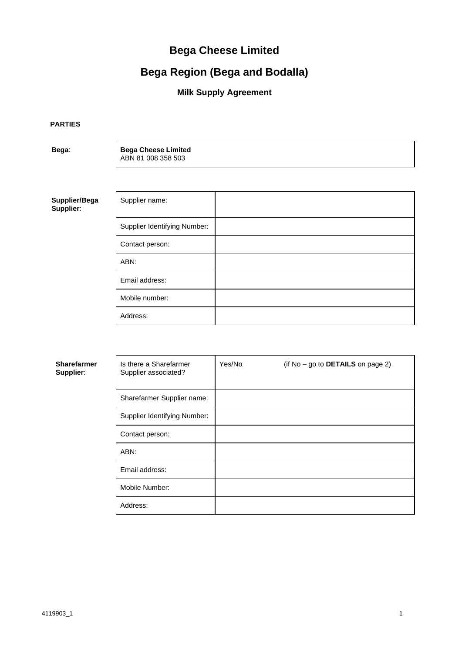# **Bega Cheese Limited**

# **Bega Region (Bega and Bodalla)**

## **Milk Supply Agreement**

**PARTIES**

**Bega**: **Bega Cheese Limited** ABN 81 008 358 503

**Supplier/Bega Supplier**:

| Supplier name:               |  |
|------------------------------|--|
| Supplier Identifying Number: |  |
| Contact person:              |  |
| ABN:                         |  |
| Email address:               |  |
| Mobile number:               |  |
| Address:                     |  |

| <b>Sharefarmer</b><br>Supplier: | Is there a Sharefarmer<br>Supplier associated? | Yes/No | (if $No - go$ to DETAILS on page 2) |
|---------------------------------|------------------------------------------------|--------|-------------------------------------|
|                                 | Sharefarmer Supplier name:                     |        |                                     |
|                                 | Supplier Identifying Number:                   |        |                                     |
|                                 | Contact person:                                |        |                                     |
|                                 | ABN:                                           |        |                                     |
|                                 | Email address:                                 |        |                                     |
|                                 | Mobile Number:                                 |        |                                     |
|                                 | Address:                                       |        |                                     |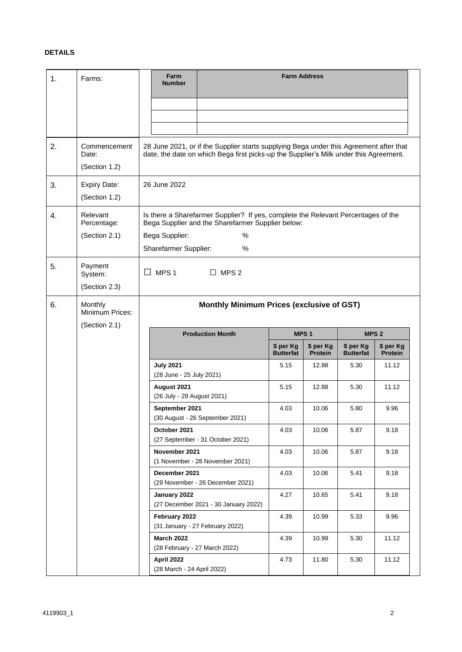## **DETAILS**

<span id="page-1-4"></span><span id="page-1-3"></span><span id="page-1-2"></span><span id="page-1-1"></span><span id="page-1-0"></span>

| 1. | Farms:                                      | Farm<br><b>Number</b>                                                                                                                                                           |                                                                                                                                                  |                               | <b>Farm Address</b>         |                               |                                                  |  |  |  |  |  |  |
|----|---------------------------------------------|---------------------------------------------------------------------------------------------------------------------------------------------------------------------------------|--------------------------------------------------------------------------------------------------------------------------------------------------|-------------------------------|-----------------------------|-------------------------------|--------------------------------------------------|--|--|--|--|--|--|
| 2. | Commencement<br>Date:<br>(Section 1.2)      | 28 June 2021, or if the Supplier starts supplying Bega under this Agreement after that<br>date, the date on which Bega first picks-up the Supplier's Milk under this Agreement. |                                                                                                                                                  |                               |                             |                               |                                                  |  |  |  |  |  |  |
| 3. | <b>Expiry Date:</b><br>(Section 1.2)        | 26 June 2022                                                                                                                                                                    |                                                                                                                                                  |                               |                             |                               |                                                  |  |  |  |  |  |  |
| 4. | Relevant<br>Percentage:<br>(Section 2.1)    | Bega Supplier:<br>Sharefarmer Supplier:                                                                                                                                         | Is there a Sharefarmer Supplier? If yes, complete the Relevant Percentages of the<br>Bega Supplier and the Sharefarmer Supplier below:<br>%<br>% |                               |                             |                               |                                                  |  |  |  |  |  |  |
| 5. | Payment<br>System:<br>(Section 2.3)         | $\Box$ MPS 1                                                                                                                                                                    | $\Box$ MPS 2                                                                                                                                     |                               |                             |                               |                                                  |  |  |  |  |  |  |
| 6. | Monthly<br>Minimum Prices:<br>(Section 2.1) |                                                                                                                                                                                 |                                                                                                                                                  |                               |                             |                               | <b>Monthly Minimum Prices (exclusive of GST)</b> |  |  |  |  |  |  |
|    |                                             |                                                                                                                                                                                 |                                                                                                                                                  |                               |                             |                               |                                                  |  |  |  |  |  |  |
|    |                                             |                                                                                                                                                                                 | <b>Production Month</b>                                                                                                                          |                               | MPS <sub>1</sub>            |                               | MPS <sub>2</sub>                                 |  |  |  |  |  |  |
|    |                                             |                                                                                                                                                                                 |                                                                                                                                                  | \$ per Kg<br><b>Butterfat</b> | \$ per Kg<br><b>Protein</b> | \$ per Kg<br><b>Butterfat</b> | \$ per Kg<br><b>Protein</b>                      |  |  |  |  |  |  |
|    |                                             | <b>July 2021</b><br>(28 June - 25 July 2021)                                                                                                                                    |                                                                                                                                                  | 5.15                          | 12.88                       | 5.30                          | 11.12                                            |  |  |  |  |  |  |
|    |                                             | August 2021<br>(26 July - 29 August 2021)                                                                                                                                       |                                                                                                                                                  | 5.15                          | 12.88                       | 5.30                          | 11.12                                            |  |  |  |  |  |  |
|    |                                             | September 2021                                                                                                                                                                  | (30 August - 26 September 2021)                                                                                                                  | 4.03                          | 10.06                       | 5.80                          | 9.96                                             |  |  |  |  |  |  |
|    |                                             | October 2021                                                                                                                                                                    | (27 September - 31 October 2021)                                                                                                                 | 4.03                          | 10.06                       | 5.87                          | 9.18                                             |  |  |  |  |  |  |
|    |                                             | November 2021                                                                                                                                                                   | (1 November - 28 November 2021)                                                                                                                  | 4.03                          | 10.06                       | 5.87                          | 9.18                                             |  |  |  |  |  |  |
|    |                                             | December 2021                                                                                                                                                                   | (29 November - 26 December 2021)                                                                                                                 | 4.03                          | 10.06                       | 5.41                          | 9.18                                             |  |  |  |  |  |  |
|    |                                             | January 2022                                                                                                                                                                    | (27 December 2021 - 30 January 2022)                                                                                                             | 4.27                          | 10.65                       | 5.41                          | 9.18                                             |  |  |  |  |  |  |
|    |                                             | February 2022                                                                                                                                                                   | (31 January - 27 February 2022)                                                                                                                  | 4.39                          | 10.99                       | 5.33                          | 9.96                                             |  |  |  |  |  |  |
|    |                                             | <b>March 2022</b><br>(28 February - 27 March 2022)                                                                                                                              |                                                                                                                                                  | 4.39                          | 10.99                       | 5.30                          | 11.12                                            |  |  |  |  |  |  |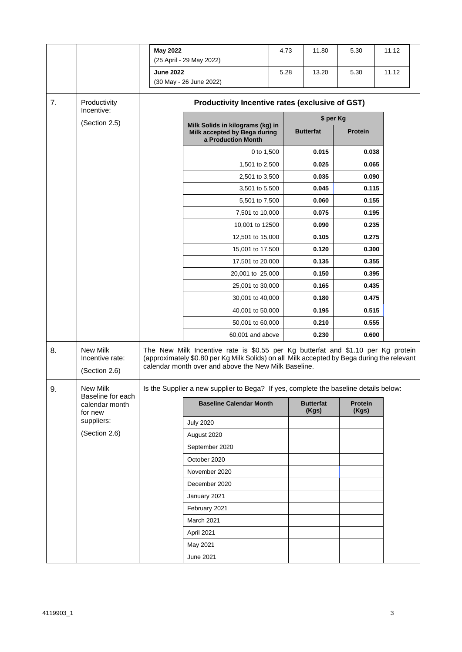<span id="page-2-2"></span><span id="page-2-1"></span><span id="page-2-0"></span>

|          |                                                          | <b>May 2022</b>  | (25 April - 29 May 2022)                                                                                                                                                                                                                                                                                                       |                                                 | 4.73<br>11.80             | 5.30                    | 11.12 |  |
|----------|----------------------------------------------------------|------------------|--------------------------------------------------------------------------------------------------------------------------------------------------------------------------------------------------------------------------------------------------------------------------------------------------------------------------------|-------------------------------------------------|---------------------------|-------------------------|-------|--|
|          |                                                          | <b>June 2022</b> | (30 May - 26 June 2022)                                                                                                                                                                                                                                                                                                        |                                                 | 5.28<br>13.20             | 5.30                    | 11.12 |  |
| 7.       | Productivity<br>Incentive:                               |                  |                                                                                                                                                                                                                                                                                                                                | Productivity Incentive rates (exclusive of GST) |                           |                         |       |  |
|          | (Section 2.5)                                            |                  | Milk Solids in kilograms (kg) in                                                                                                                                                                                                                                                                                               |                                                 |                           | \$ per Kg               |       |  |
|          |                                                          |                  | Milk accepted by Bega during<br>a Production Month                                                                                                                                                                                                                                                                             |                                                 | <b>Butterfat</b>          | Protein                 |       |  |
|          |                                                          |                  | 0 to 1,500                                                                                                                                                                                                                                                                                                                     |                                                 | 0.015                     | 0.038                   |       |  |
|          |                                                          |                  | 1,501 to 2,500                                                                                                                                                                                                                                                                                                                 |                                                 | 0.025                     | 0.065                   |       |  |
|          |                                                          |                  | 2,501 to 3,500                                                                                                                                                                                                                                                                                                                 |                                                 | 0.035                     | 0.090                   |       |  |
|          |                                                          |                  | 3,501 to 5,500                                                                                                                                                                                                                                                                                                                 |                                                 | 0.045                     | 0.115                   |       |  |
|          |                                                          |                  | 5,501 to 7,500                                                                                                                                                                                                                                                                                                                 |                                                 | 0.060                     | 0.155                   |       |  |
|          |                                                          |                  | 7,501 to 10,000                                                                                                                                                                                                                                                                                                                |                                                 | 0.075                     | 0.195                   |       |  |
|          |                                                          |                  | 10,001 to 12500                                                                                                                                                                                                                                                                                                                |                                                 | 0.090                     | 0.235                   |       |  |
|          |                                                          |                  | 12,501 to 15,000                                                                                                                                                                                                                                                                                                               |                                                 | 0.105                     | 0.275                   |       |  |
|          |                                                          |                  | 15,001 to 17,500                                                                                                                                                                                                                                                                                                               |                                                 | 0.120                     | 0.300                   |       |  |
|          |                                                          |                  | 17,501 to 20,000                                                                                                                                                                                                                                                                                                               |                                                 | 0.135                     | 0.355                   |       |  |
|          |                                                          |                  | 20,001 to 25,000                                                                                                                                                                                                                                                                                                               |                                                 | 0.150                     | 0.395                   |       |  |
|          |                                                          |                  | 25,001 to 30,000                                                                                                                                                                                                                                                                                                               |                                                 | 0.165                     | 0.435                   |       |  |
|          |                                                          |                  | 30,001 to 40,000                                                                                                                                                                                                                                                                                                               | 0.180                                           |                           | 0.475                   |       |  |
|          |                                                          |                  | 40,001 to 50,000                                                                                                                                                                                                                                                                                                               |                                                 | 0.195                     | 0.515                   |       |  |
|          |                                                          |                  | 50,001 to 60,000                                                                                                                                                                                                                                                                                                               |                                                 | 0.210                     | 0.555                   |       |  |
|          |                                                          |                  | 60,001 and above                                                                                                                                                                                                                                                                                                               |                                                 | 0.230                     | 0.600                   |       |  |
| 8.<br>9. | New Milk<br>Incentive rate:<br>(Section 2.6)<br>New Milk |                  | The New Milk Incentive rate is \$0.55 per Kg butterfat and \$1.10 per Kg protein<br>(approximately \$0.80 per Kg Milk Solids) on all Milk accepted by Bega during the relevant<br>calendar month over and above the New Milk Baseline.<br>Is the Supplier a new supplier to Bega? If yes, complete the baseline details below: |                                                 |                           |                         |       |  |
|          | Baseline for each                                        |                  |                                                                                                                                                                                                                                                                                                                                |                                                 |                           |                         |       |  |
|          | calendar month<br>for new                                |                  | <b>Baseline Calendar Month</b>                                                                                                                                                                                                                                                                                                 |                                                 | <b>Butterfat</b><br>(Kgs) | <b>Protein</b><br>(Kgs) |       |  |
|          | suppliers:                                               |                  | <b>July 2020</b>                                                                                                                                                                                                                                                                                                               |                                                 |                           |                         |       |  |
|          | (Section 2.6)                                            |                  | August 2020                                                                                                                                                                                                                                                                                                                    |                                                 |                           |                         |       |  |
|          |                                                          |                  | September 2020                                                                                                                                                                                                                                                                                                                 |                                                 |                           |                         |       |  |
|          |                                                          |                  | October 2020                                                                                                                                                                                                                                                                                                                   |                                                 |                           |                         |       |  |
|          |                                                          |                  | November 2020                                                                                                                                                                                                                                                                                                                  |                                                 |                           |                         |       |  |
|          |                                                          |                  | December 2020                                                                                                                                                                                                                                                                                                                  |                                                 |                           |                         |       |  |
|          |                                                          |                  | January 2021                                                                                                                                                                                                                                                                                                                   |                                                 |                           |                         |       |  |
|          |                                                          |                  | February 2021                                                                                                                                                                                                                                                                                                                  |                                                 |                           |                         |       |  |
|          |                                                          |                  | March 2021                                                                                                                                                                                                                                                                                                                     |                                                 |                           |                         |       |  |
|          |                                                          |                  | April 2021                                                                                                                                                                                                                                                                                                                     |                                                 |                           |                         |       |  |
|          |                                                          |                  | May 2021                                                                                                                                                                                                                                                                                                                       |                                                 |                           |                         |       |  |
|          |                                                          |                  | June 2021                                                                                                                                                                                                                                                                                                                      |                                                 |                           |                         |       |  |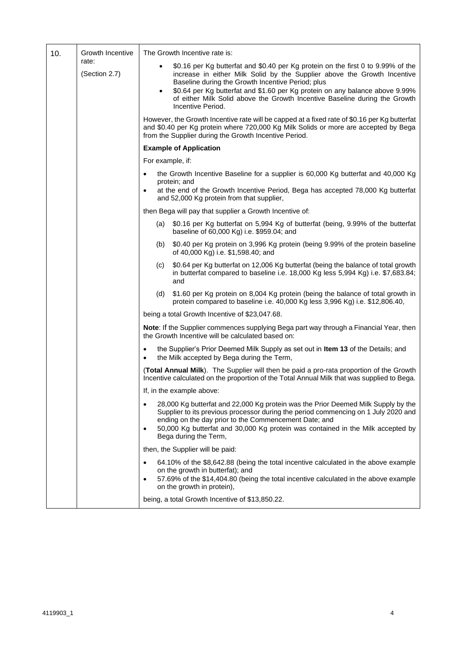<span id="page-3-0"></span>

| Growth Incentive<br>10.<br>rate: |               | The Growth Incentive rate is:                                                                                                                                                                                                                                                                                                                                                                                     |  |  |  |  |  |  |
|----------------------------------|---------------|-------------------------------------------------------------------------------------------------------------------------------------------------------------------------------------------------------------------------------------------------------------------------------------------------------------------------------------------------------------------------------------------------------------------|--|--|--|--|--|--|
|                                  | (Section 2.7) | \$0.16 per Kg butterfat and \$0.40 per Kg protein on the first 0 to 9.99% of the<br>increase in either Milk Solid by the Supplier above the Growth Incentive<br>Baseline during the Growth Incentive Period; plus<br>\$0.64 per Kg butterfat and \$1.60 per Kg protein on any balance above 9.99%<br>$\bullet$<br>of either Milk Solid above the Growth Incentive Baseline during the Growth<br>Incentive Period. |  |  |  |  |  |  |
|                                  |               | However, the Growth Incentive rate will be capped at a fixed rate of \$0.16 per Kg butterfat<br>and \$0.40 per Kg protein where 720,000 Kg Milk Solids or more are accepted by Bega<br>from the Supplier during the Growth Incentive Period.                                                                                                                                                                      |  |  |  |  |  |  |
|                                  |               | <b>Example of Application</b>                                                                                                                                                                                                                                                                                                                                                                                     |  |  |  |  |  |  |
|                                  |               | For example, if:                                                                                                                                                                                                                                                                                                                                                                                                  |  |  |  |  |  |  |
|                                  |               | the Growth Incentive Baseline for a supplier is 60,000 Kg butterfat and 40,000 Kg<br>$\bullet$<br>protein; and<br>at the end of the Growth Incentive Period, Bega has accepted 78,000 Kg butterfat<br>and 52,000 Kg protein from that supplier,                                                                                                                                                                   |  |  |  |  |  |  |
|                                  |               | then Bega will pay that supplier a Growth Incentive of:                                                                                                                                                                                                                                                                                                                                                           |  |  |  |  |  |  |
|                                  |               | (a) \$0.16 per Kg butterfat on 5,994 Kg of butterfat (being, 9.99% of the butterfat<br>baseline of 60,000 Kg) i.e. \$959.04; and                                                                                                                                                                                                                                                                                  |  |  |  |  |  |  |
|                                  |               | \$0.40 per Kg protein on 3,996 Kg protein (being 9.99% of the protein baseline<br>(b)<br>of 40,000 Kg) i.e. \$1,598.40; and                                                                                                                                                                                                                                                                                       |  |  |  |  |  |  |
|                                  |               | \$0.64 per Kg butterfat on 12,006 Kg butterfat (being the balance of total growth<br>(c)<br>in butterfat compared to baseline i.e. 18,000 Kg less 5,994 Kg) i.e. \$7,683.84;<br>and                                                                                                                                                                                                                               |  |  |  |  |  |  |
|                                  |               | \$1.60 per Kg protein on 8,004 Kg protein (being the balance of total growth in<br>(d)<br>protein compared to baseline i.e. 40,000 Kg less 3,996 Kg) i.e. \$12,806.40,                                                                                                                                                                                                                                            |  |  |  |  |  |  |
|                                  |               | being a total Growth Incentive of \$23,047.68.                                                                                                                                                                                                                                                                                                                                                                    |  |  |  |  |  |  |
|                                  |               | Note: If the Supplier commences supplying Bega part way through a Financial Year, then<br>the Growth Incentive will be calculated based on:                                                                                                                                                                                                                                                                       |  |  |  |  |  |  |
|                                  |               | the Supplier's Prior Deemed Milk Supply as set out in Item 13 of the Details; and<br>$\bullet$<br>the Milk accepted by Bega during the Term,                                                                                                                                                                                                                                                                      |  |  |  |  |  |  |
|                                  |               | (Total Annual Milk). The Supplier will then be paid a pro-rata proportion of the Growth<br>Incentive calculated on the proportion of the Total Annual Milk that was supplied to Bega.                                                                                                                                                                                                                             |  |  |  |  |  |  |
|                                  |               | If, in the example above:                                                                                                                                                                                                                                                                                                                                                                                         |  |  |  |  |  |  |
|                                  |               | 28,000 Kg butterfat and 22,000 Kg protein was the Prior Deemed Milk Supply by the<br>Supplier to its previous processor during the period commencing on 1 July 2020 and<br>ending on the day prior to the Commencement Date; and<br>50,000 Kg butterfat and 30,000 Kg protein was contained in the Milk accepted by<br>Bega during the Term,                                                                      |  |  |  |  |  |  |
|                                  |               | then, the Supplier will be paid:                                                                                                                                                                                                                                                                                                                                                                                  |  |  |  |  |  |  |
|                                  |               | 64.10% of the \$8,642.88 (being the total incentive calculated in the above example<br>on the growth in butterfat); and<br>57.69% of the \$14,404.80 (being the total incentive calculated in the above example<br>on the growth in protein),                                                                                                                                                                     |  |  |  |  |  |  |
|                                  |               | being, a total Growth Incentive of \$13,850.22.                                                                                                                                                                                                                                                                                                                                                                   |  |  |  |  |  |  |

 $\mathbf{r}$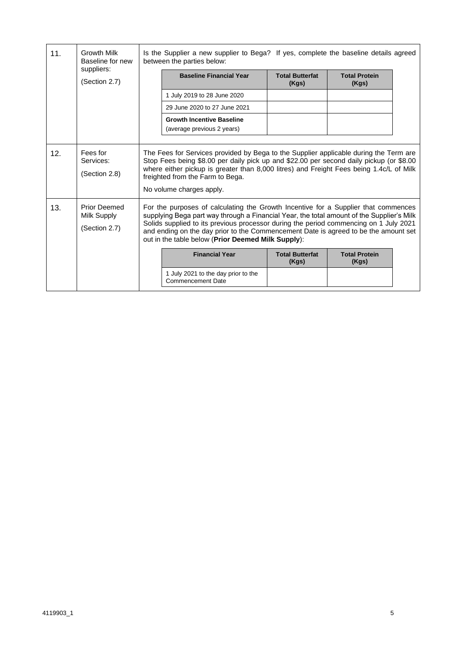<span id="page-4-2"></span><span id="page-4-1"></span><span id="page-4-0"></span>

| 11. | <b>Growth Milk</b><br>Baseline for new<br>suppliers: | Is the Supplier a new supplier to Bega? If yes, complete the baseline details agreed<br>between the parties below:                                                                                                                                                                                                                          |                                                                                                                                                                                                                                                                                                                                                                                                                       |                               |  |  |  |  |
|-----|------------------------------------------------------|---------------------------------------------------------------------------------------------------------------------------------------------------------------------------------------------------------------------------------------------------------------------------------------------------------------------------------------------|-----------------------------------------------------------------------------------------------------------------------------------------------------------------------------------------------------------------------------------------------------------------------------------------------------------------------------------------------------------------------------------------------------------------------|-------------------------------|--|--|--|--|
|     | (Section 2.7)                                        | <b>Baseline Financial Year</b>                                                                                                                                                                                                                                                                                                              | <b>Total Butterfat</b><br>(Kgs)                                                                                                                                                                                                                                                                                                                                                                                       | <b>Total Protein</b><br>(Kgs) |  |  |  |  |
|     |                                                      | 1 July 2019 to 28 June 2020                                                                                                                                                                                                                                                                                                                 |                                                                                                                                                                                                                                                                                                                                                                                                                       |                               |  |  |  |  |
|     |                                                      | 29 June 2020 to 27 June 2021                                                                                                                                                                                                                                                                                                                |                                                                                                                                                                                                                                                                                                                                                                                                                       |                               |  |  |  |  |
|     |                                                      | <b>Growth Incentive Baseline</b><br>(average previous 2 years)                                                                                                                                                                                                                                                                              |                                                                                                                                                                                                                                                                                                                                                                                                                       |                               |  |  |  |  |
| 12. | Fees for<br>Services:<br>(Section 2.8)               | The Fees for Services provided by Bega to the Supplier applicable during the Term are<br>Stop Fees being \$8.00 per daily pick up and \$22.00 per second daily pickup (or \$8.00<br>where either pickup is greater than 8,000 litres) and Freight Fees being 1.4c/L of Milk<br>freighted from the Farm to Bega.<br>No volume charges apply. |                                                                                                                                                                                                                                                                                                                                                                                                                       |                               |  |  |  |  |
| 13. | <b>Prior Deemed</b><br>Milk Supply<br>(Section 2.7)  |                                                                                                                                                                                                                                                                                                                                             | For the purposes of calculating the Growth Incentive for a Supplier that commences<br>supplying Bega part way through a Financial Year, the total amount of the Supplier's Milk<br>Solids supplied to its previous processor during the period commencing on 1 July 2021<br>and ending on the day prior to the Commencement Date is agreed to be the amount set<br>out in the table below (Prior Deemed Milk Supply): |                               |  |  |  |  |
|     |                                                      | <b>Financial Year</b>                                                                                                                                                                                                                                                                                                                       | <b>Total Butterfat</b><br>(Kgs)                                                                                                                                                                                                                                                                                                                                                                                       | <b>Total Protein</b><br>(Kgs) |  |  |  |  |
|     |                                                      | 1 July 2021 to the day prior to the<br><b>Commencement Date</b>                                                                                                                                                                                                                                                                             |                                                                                                                                                                                                                                                                                                                                                                                                                       |                               |  |  |  |  |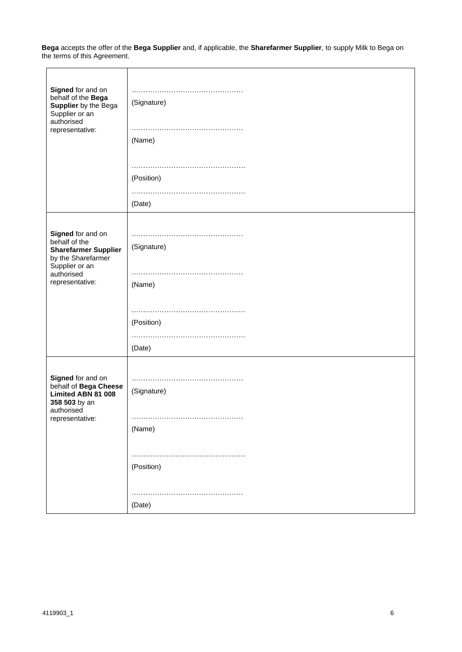**Bega** accepts the offer of the **Bega Supplier** and, if applicable, the **Sharefarmer Supplier**, to supply Milk to Bega on the terms of this Agreement.

| Signed for and on<br>behalf of the Bega<br>Supplier by the Bega<br>Supplier or an<br>authorised<br>representative: | (Signature)<br>(Name) |
|--------------------------------------------------------------------------------------------------------------------|-----------------------|
|                                                                                                                    |                       |
|                                                                                                                    | (Position)            |
|                                                                                                                    |                       |
|                                                                                                                    |                       |
|                                                                                                                    | (Date)                |
|                                                                                                                    |                       |
|                                                                                                                    |                       |
| Signed for and on<br>behalf of the                                                                                 |                       |
| <b>Sharefarmer Supplier</b>                                                                                        | (Signature)           |
| by the Sharefarmer                                                                                                 |                       |
| Supplier or an                                                                                                     |                       |
| authorised                                                                                                         |                       |
| representative:                                                                                                    | (Name)                |
|                                                                                                                    |                       |
|                                                                                                                    |                       |
|                                                                                                                    |                       |
|                                                                                                                    | (Position)            |
|                                                                                                                    |                       |
|                                                                                                                    | (Date)                |
|                                                                                                                    |                       |
|                                                                                                                    |                       |
| Signed for and on                                                                                                  | $\cdots$              |
| behalf of Bega Cheese<br>Limited ABN 81 008                                                                        | (Signature)           |
| 358 503 by an                                                                                                      |                       |
| authorised                                                                                                         |                       |
| representative:                                                                                                    |                       |
|                                                                                                                    | (Name)                |
|                                                                                                                    |                       |
|                                                                                                                    |                       |
|                                                                                                                    | (Position)            |
|                                                                                                                    |                       |
|                                                                                                                    |                       |
|                                                                                                                    |                       |
|                                                                                                                    | (Date)                |

٦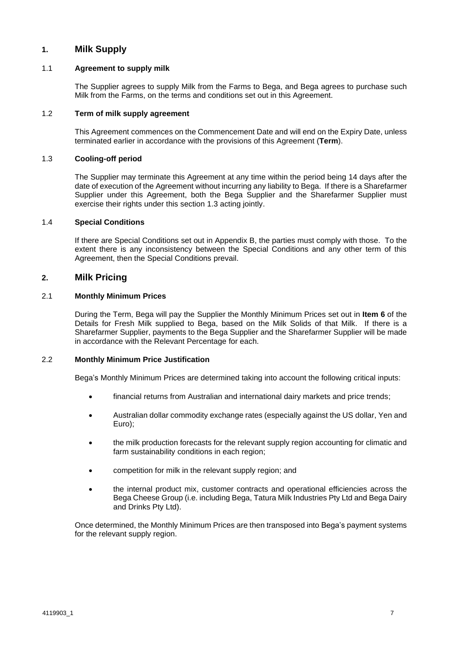## **1. Milk Supply**

#### 1.1 **Agreement to supply milk**

The Supplier agrees to supply Milk from the Farms to Bega, and Bega agrees to purchase such Milk from the Farms, on the terms and conditions set out in this Agreement.

## <span id="page-6-0"></span>1.2 **Term of milk supply agreement**

This Agreement commences on the Commencement Date and will end on the Expiry Date, unless terminated earlier in accordance with the provisions of this Agreement (**Term**).

#### <span id="page-6-2"></span>1.3 **Cooling-off period**

The Supplier may terminate this Agreement at any time within the period being 14 days after the date of execution of the Agreement without incurring any liability to Bega. If there is a Sharefarmer Supplier under this Agreement, both the Bega Supplier and the Sharefarmer Supplier must exercise their rights under this section [1.3](#page-6-2) acting jointly.

#### 1.4 **Special Conditions**

If there are Special Conditions set out in Appendix B, the parties must comply with those. To the extent there is any inconsistency between the Special Conditions and any other term of this Agreement, then the Special Conditions prevail.

## **2. Milk Pricing**

## <span id="page-6-1"></span>2.1 **Monthly Minimum Prices**

During the Term, Bega will pay the Supplier the Monthly Minimum Prices set out in **Item [6](#page-1-0)** of the Details for Fresh Milk supplied to Bega, based on the Milk Solids of that Milk. If there is a Sharefarmer Supplier, payments to the Bega Supplier and the Sharefarmer Supplier will be made in accordance with the Relevant Percentage for each.

#### 2.2 **Monthly Minimum Price Justification**

Bega's Monthly Minimum Prices are determined taking into account the following critical inputs:

- financial returns from Australian and international dairy markets and price trends;
- Australian dollar commodity exchange rates (especially against the US dollar, Yen and Euro);
- the milk production forecasts for the relevant supply region accounting for climatic and farm sustainability conditions in each region;
- competition for milk in the relevant supply region; and
- the internal product mix, customer contracts and operational efficiencies across the Bega Cheese Group (i.e. including Bega, Tatura Milk Industries Pty Ltd and Bega Dairy and Drinks Pty Ltd).

Once determined, the Monthly Minimum Prices are then transposed into Bega's payment systems for the relevant supply region.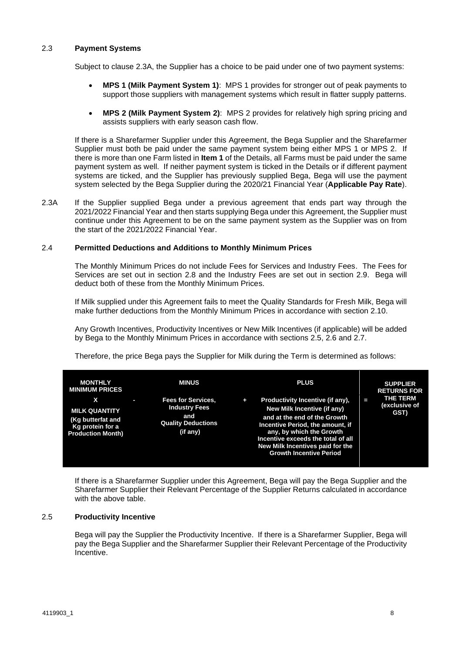#### <span id="page-7-0"></span>2.3 **Payment Systems**

Subject to clause 2.3A, the Supplier has a choice to be paid under one of two payment systems:

- **MPS 1 (Milk Payment System 1)**: MPS 1 provides for stronger out of peak payments to support those suppliers with management systems which result in flatter supply patterns.
- **MPS 2 (Milk Payment System 2)**: MPS 2 provides for relatively high spring pricing and assists suppliers with early season cash flow.

If there is a Sharefarmer Supplier under this Agreement, the Bega Supplier and the Sharefarmer Supplier must both be paid under the same payment system being either MPS 1 or MPS 2. If there is more than one Farm listed in **Item [1](#page-1-1)** of the Details, all Farms must be paid under the same payment system as well. If neither payment system is ticked in the Details or if different payment systems are ticked, and the Supplier has previously supplied Bega, Bega will use the payment system selected by the Bega Supplier during the 2020/21 Financial Year (**Applicable Pay Rate**).

2.3A If the Supplier supplied Bega under a previous agreement that ends part way through the 2021/2022 Financial Year and then starts supplying Bega under this Agreement, the Supplier must continue under this Agreement to be on the same payment system as the Supplier was on from the start of the 2021/2022 Financial Year.

## 2.4 **Permitted Deductions and Additions to Monthly Minimum Prices**

The Monthly Minimum Prices do not include Fees for Services and Industry Fees. The Fees for Services are set out in section [2.8](#page-9-0) and the Industry Fees are set out in section [2.9.](#page-9-1) Bega will deduct both of these from the Monthly Minimum Prices.

If Milk supplied under this Agreement fails to meet the Quality Standards for Fresh Milk, Bega will make further deductions from the Monthly Minimum Prices in accordance with section [2.10.](#page-9-2)

Any Growth Incentives, Productivity Incentives or New Milk Incentives (if applicable) will be added by Bega to the Monthly Minimum Prices in accordance with sections [2.5,](#page-7-1) [2.6](#page-8-0) and [2.7.](#page-8-1)

Therefore, the price Bega pays the Supplier for Milk during the Term is determined as follows:

| <b>MONTHLY</b><br><b>MINIMUM PRICES</b>                           |   | MINUS                                             |   | <b>PLUS</b>                                                                                                                                                                                              |   | <b>SUPPLIER</b><br><b>RETURNS FOR</b>    |
|-------------------------------------------------------------------|---|---------------------------------------------------|---|----------------------------------------------------------------------------------------------------------------------------------------------------------------------------------------------------------|---|------------------------------------------|
| x<br><b>MILK QUANTITY</b>                                         | ı | <b>Fees for Services,</b><br><b>Industry Fees</b> | ÷ | Productivity Incentive (if any),<br>New Milk Incentive (if any)                                                                                                                                          | Ι | <b>THE TERM</b><br>(exclusive of<br>GST) |
| (Kg butterfat and<br>Kg protein for a<br><b>Production Month)</b> |   | and<br><b>Quality Deductions</b><br>(if any)      |   | and at the end of the Growth<br>Incentive Period, the amount, if<br>any, by which the Growth<br>Incentive exceeds the total of all<br>New Milk Incentives paid for the<br><b>Growth Incentive Period</b> |   |                                          |

If there is a Sharefarmer Supplier under this Agreement, Bega will pay the Bega Supplier and the Sharefarmer Supplier their Relevant Percentage of the Supplier Returns calculated in accordance with the above table.

## <span id="page-7-1"></span>2.5 **Productivity Incentive**

Bega will pay the Supplier the Productivity Incentive. If there is a Sharefarmer Supplier, Bega will pay the Bega Supplier and the Sharefarmer Supplier their Relevant Percentage of the Productivity Incentive.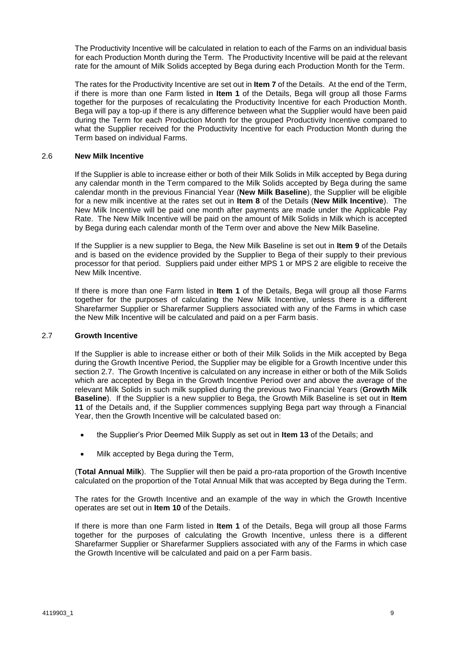The Productivity Incentive will be calculated in relation to each of the Farms on an individual basis for each Production Month during the Term. The Productivity Incentive will be paid at the relevant rate for the amount of Milk Solids accepted by Bega during each Production Month for the Term.

The rates for the Productivity Incentive are set out in **Item [7](#page-2-0)** of the Details. At the end of the Term, if there is more than one Farm listed in **Item [1](#page-1-1)** of the Details, Bega will group all those Farms together for the purposes of recalculating the Productivity Incentive for each Production Month. Bega will pay a top-up if there is any difference between what the Supplier would have been paid during the Term for each Production Month for the grouped Productivity Incentive compared to what the Supplier received for the Productivity Incentive for each Production Month during the Term based on individual Farms.

## <span id="page-8-0"></span>2.6 **New Milk Incentive**

If the Supplier is able to increase either or both of their Milk Solids in Milk accepted by Bega during any calendar month in the Term compared to the Milk Solids accepted by Bega during the same calendar month in the previous Financial Year (**New Milk Baseline**), the Supplier will be eligible for a new milk incentive at the rates set out in **Item [8](#page-2-1)** of the Details (**New Milk Incentive**). The New Milk Incentive will be paid one month after payments are made under the Applicable Pay Rate. The New Milk Incentive will be paid on the amount of Milk Solids in Milk which is accepted by Bega during each calendar month of the Term over and above the New Milk Baseline.

If the Supplier is a new supplier to Bega, the New Milk Baseline is set out in **Item [9](#page-2-2)** of the Details and is based on the evidence provided by the Supplier to Bega of their supply to their previous processor for that period. Suppliers paid under either MPS 1 or MPS 2 are eligible to receive the New Milk Incentive.

If there is more than one Farm listed in **Item [1](#page-1-1)** of the Details, Bega will group all those Farms together for the purposes of calculating the New Milk Incentive, unless there is a different Sharefarmer Supplier or Sharefarmer Suppliers associated with any of the Farms in which case the New Milk Incentive will be calculated and paid on a per Farm basis.

## <span id="page-8-1"></span>2.7 **Growth Incentive**

If the Supplier is able to increase either or both of their Milk Solids in the Milk accepted by Bega during the Growth Incentive Period, the Supplier may be eligible for a Growth Incentive under this sectio[n 2.7.](#page-8-1) The Growth Incentive is calculated on any increase in either or both of the Milk Solids which are accepted by Bega in the Growth Incentive Period over and above the average of the relevant Milk Solids in such milk supplied during the previous two Financial Years (**Growth Milk Baseline**). If the Supplier is a new supplier to Bega, the Growth Milk Baseline is set out in **Item [11](#page-4-1)** of the Details and, if the Supplier commences supplying Bega part way through a Financial Year, then the Growth Incentive will be calculated based on:

- the Supplier's Prior Deemed Milk Supply as set out in **Item [13](#page-4-0)** of the Details; and
- Milk accepted by Bega during the Term,

(**Total Annual Milk**). The Supplier will then be paid a pro-rata proportion of the Growth Incentive calculated on the proportion of the Total Annual Milk that was accepted by Bega during the Term.

The rates for the Growth Incentive and an example of the way in which the Growth Incentive operates are set out in **Item [10](#page-3-0)** of the Details.

If there is more than one Farm listed in **Item [1](#page-1-1)** of the Details, Bega will group all those Farms together for the purposes of calculating the Growth Incentive, unless there is a different Sharefarmer Supplier or Sharefarmer Suppliers associated with any of the Farms in which case the Growth Incentive will be calculated and paid on a per Farm basis.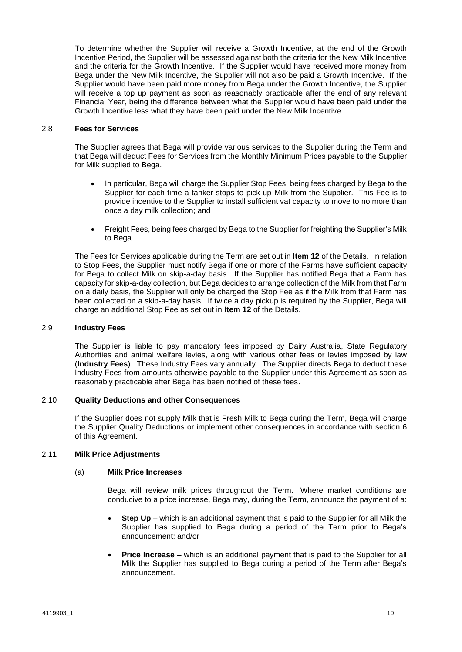To determine whether the Supplier will receive a Growth Incentive, at the end of the Growth Incentive Period, the Supplier will be assessed against both the criteria for the New Milk Incentive and the criteria for the Growth Incentive. If the Supplier would have received more money from Bega under the New Milk Incentive, the Supplier will not also be paid a Growth Incentive. If the Supplier would have been paid more money from Bega under the Growth Incentive, the Supplier will receive a top up payment as soon as reasonably practicable after the end of any relevant Financial Year, being the difference between what the Supplier would have been paid under the Growth Incentive less what they have been paid under the New Milk Incentive.

#### <span id="page-9-0"></span>2.8 **Fees for Services**

The Supplier agrees that Bega will provide various services to the Supplier during the Term and that Bega will deduct Fees for Services from the Monthly Minimum Prices payable to the Supplier for Milk supplied to Bega.

- In particular, Bega will charge the Supplier Stop Fees, being fees charged by Bega to the Supplier for each time a tanker stops to pick up Milk from the Supplier. This Fee is to provide incentive to the Supplier to install sufficient vat capacity to move to no more than once a day milk collection; and
- Freight Fees, being fees charged by Bega to the Supplier for freighting the Supplier's Milk to Bega.

The Fees for Services applicable during the Term are set out in **Item [12](#page-4-2)** of the Details. In relation to Stop Fees, the Supplier must notify Bega if one or more of the Farms have sufficient capacity for Bega to collect Milk on skip-a-day basis. If the Supplier has notified Bega that a Farm has capacity for skip-a-day collection, but Bega decides to arrange collection of the Milk from that Farm on a daily basis, the Supplier will only be charged the Stop Fee as if the Milk from that Farm has been collected on a skip-a-day basis. If twice a day pickup is required by the Supplier, Bega will charge an additional Stop Fee as set out in **Item [12](#page-4-2)** of the Details.

## <span id="page-9-1"></span>2.9 **Industry Fees**

The Supplier is liable to pay mandatory fees imposed by Dairy Australia, State Regulatory Authorities and animal welfare levies, along with various other fees or levies imposed by law (**Industry Fees**). These Industry Fees vary annually. The Supplier directs Bega to deduct these Industry Fees from amounts otherwise payable to the Supplier under this Agreement as soon as reasonably practicable after Bega has been notified of these fees.

## <span id="page-9-2"></span>2.10 **Quality Deductions and other Consequences**

If the Supplier does not supply Milk that is Fresh Milk to Bega during the Term, Bega will charge the Supplier Quality Deductions or implement other consequences in accordance with section [6](#page-11-0) of this Agreement.

## 2.11 **Milk Price Adjustments**

#### (a) **Milk Price Increases**

Bega will review milk prices throughout the Term. Where market conditions are conducive to a price increase, Bega may, during the Term, announce the payment of a:

- **Step Up** which is an additional payment that is paid to the Supplier for all Milk the Supplier has supplied to Bega during a period of the Term prior to Bega's announcement; and/or
- **Price Increase** which is an additional payment that is paid to the Supplier for all Milk the Supplier has supplied to Bega during a period of the Term after Bega's announcement.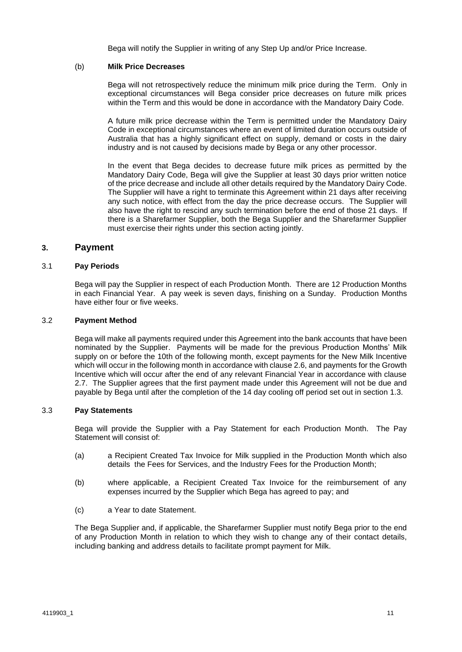Bega will notify the Supplier in writing of any Step Up and/or Price Increase.

## (b) **Milk Price Decreases**

Bega will not retrospectively reduce the minimum milk price during the Term. Only in exceptional circumstances will Bega consider price decreases on future milk prices within the Term and this would be done in accordance with the Mandatory Dairy Code.

A future milk price decrease within the Term is permitted under the Mandatory Dairy Code in exceptional circumstances where an event of limited duration occurs outside of Australia that has a highly significant effect on supply, demand or costs in the dairy industry and is not caused by decisions made by Bega or any other processor.

In the event that Bega decides to decrease future milk prices as permitted by the Mandatory Dairy Code, Bega will give the Supplier at least 30 days prior written notice of the price decrease and include all other details required by the Mandatory Dairy Code. The Supplier will have a right to terminate this Agreement within 21 days after receiving any such notice, with effect from the day the price decrease occurs. The Supplier will also have the right to rescind any such termination before the end of those 21 days. If there is a Sharefarmer Supplier, both the Bega Supplier and the Sharefarmer Supplier must exercise their rights under this section acting jointly.

## **3. Payment**

## 3.1 **Pay Periods**

Bega will pay the Supplier in respect of each Production Month. There are 12 Production Months in each Financial Year. A pay week is seven days, finishing on a Sunday. Production Months have either four or five weeks.

#### 3.2 **Payment Method**

Bega will make all payments required under this Agreement into the bank accounts that have been nominated by the Supplier. Payments will be made for the previous Production Months' Milk supply on or before the 10th of the following month, except payments for the New Milk Incentive which will occur in the following month in accordance with clause [2.6,](#page-8-0) and payments for the Growth Incentive which will occur after the end of any relevant Financial Year in accordance with clause [2.7.](#page-8-1) The Supplier agrees that the first payment made under this Agreement will not be due and payable by Bega until after the completion of the 14 day cooling off period set out in section [1.3.](#page-6-2)

## 3.3 **Pay Statements**

Bega will provide the Supplier with a Pay Statement for each Production Month. The Pay Statement will consist of:

- (a) a Recipient Created Tax Invoice for Milk supplied in the Production Month which also details the Fees for Services, and the Industry Fees for the Production Month;
- (b) where applicable, a Recipient Created Tax Invoice for the reimbursement of any expenses incurred by the Supplier which Bega has agreed to pay; and
- (c) a Year to date Statement.

The Bega Supplier and, if applicable, the Sharefarmer Supplier must notify Bega prior to the end of any Production Month in relation to which they wish to change any of their contact details, including banking and address details to facilitate prompt payment for Milk.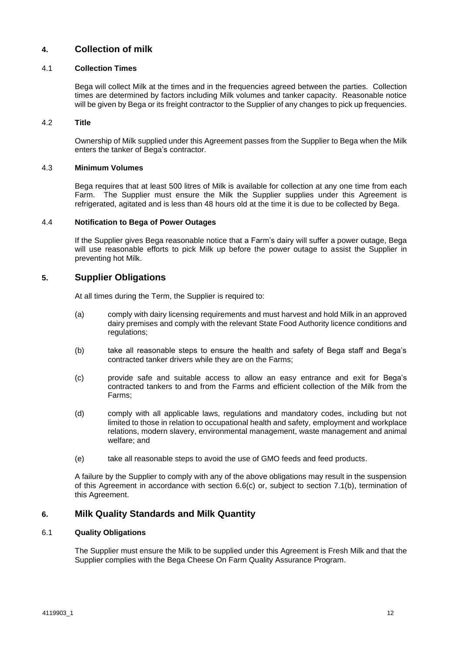## **4. Collection of milk**

## 4.1 **Collection Times**

Bega will collect Milk at the times and in the frequencies agreed between the parties. Collection times are determined by factors including Milk volumes and tanker capacity. Reasonable notice will be given by Bega or its freight contractor to the Supplier of any changes to pick up frequencies.

## 4.2 **Title**

Ownership of Milk supplied under this Agreement passes from the Supplier to Bega when the Milk enters the tanker of Bega's contractor.

## 4.3 **Minimum Volumes**

Bega requires that at least 500 litres of Milk is available for collection at any one time from each Farm. The Supplier must ensure the Milk the Supplier supplies under this Agreement is refrigerated, agitated and is less than 48 hours old at the time it is due to be collected by Bega.

## 4.4 **Notification to Bega of Power Outages**

If the Supplier gives Bega reasonable notice that a Farm's dairy will suffer a power outage, Bega will use reasonable efforts to pick Milk up before the power outage to assist the Supplier in preventing hot Milk.

## **5. Supplier Obligations**

At all times during the Term, the Supplier is required to:

- (a) comply with dairy licensing requirements and must harvest and hold Milk in an approved dairy premises and comply with the relevant State Food Authority licence conditions and regulations;
- (b) take all reasonable steps to ensure the health and safety of Bega staff and Bega's contracted tanker drivers while they are on the Farms;
- (c) provide safe and suitable access to allow an easy entrance and exit for Bega's contracted tankers to and from the Farms and efficient collection of the Milk from the Farms;
- (d) comply with all applicable laws, regulations and mandatory codes, including but not limited to those in relation to occupational health and safety, employment and workplace relations, modern slavery, environmental management, waste management and animal welfare; and
- (e) take all reasonable steps to avoid the use of GMO feeds and feed products.

A failure by the Supplier to comply with any of the above obligations may result in the suspension of this Agreement in accordance with section [6.6\(c\)](#page-13-0) or, subject to section [7.1\(b\),](#page-14-0) termination of this Agreement.

## <span id="page-11-0"></span>**6. Milk Quality Standards and Milk Quantity**

## 6.1 **Quality Obligations**

The Supplier must ensure the Milk to be supplied under this Agreement is Fresh Milk and that the Supplier complies with the Bega Cheese On Farm Quality Assurance Program.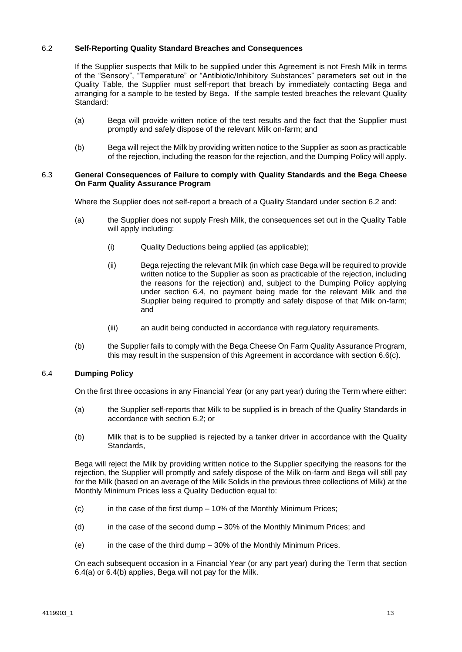## <span id="page-12-0"></span>6.2 **Self-Reporting Quality Standard Breaches and Consequences**

If the Supplier suspects that Milk to be supplied under this Agreement is not Fresh Milk in terms of the "Sensory", "Temperature" or "Antibiotic/Inhibitory Substances" parameters set out in the Quality Table, the Supplier must self-report that breach by immediately contacting Bega and arranging for a sample to be tested by Bega. If the sample tested breaches the relevant Quality Standard:

- (a) Bega will provide written notice of the test results and the fact that the Supplier must promptly and safely dispose of the relevant Milk on-farm; and
- (b) Bega will reject the Milk by providing written notice to the Supplier as soon as practicable of the rejection, including the reason for the rejection, and the Dumping Policy will apply.

#### 6.3 **General Consequences of Failure to comply with Quality Standards and the Bega Cheese On Farm Quality Assurance Program**

Where the Supplier does not self-report a breach of a Quality Standard under section [6.2](#page-12-0) and:

- (a) the Supplier does not supply Fresh Milk, the consequences set out in the Quality Table will apply including:
	- (i) Quality Deductions being applied (as applicable);
	- (ii) Bega rejecting the relevant Milk (in which case Bega will be required to provide written notice to the Supplier as soon as practicable of the rejection, including the reasons for the rejection) and, subject to the Dumping Policy applying under section [6.4,](#page-12-1) no payment being made for the relevant Milk and the Supplier being required to promptly and safely dispose of that Milk on-farm; and
	- (iii) an audit being conducted in accordance with regulatory requirements.
- (b) the Supplier fails to comply with the Bega Cheese On Farm Quality Assurance Program, this may result in the suspension of this Agreement in accordance with section [6.6\(c\).](#page-13-0)

## <span id="page-12-1"></span>6.4 **Dumping Policy**

On the first three occasions in any Financial Year (or any part year) during the Term where either:

- <span id="page-12-2"></span>(a) the Supplier self-reports that Milk to be supplied is in breach of the Quality Standards in accordance with section [6.2;](#page-12-0) or
- <span id="page-12-3"></span>(b) Milk that is to be supplied is rejected by a tanker driver in accordance with the Quality Standards,

Bega will reject the Milk by providing written notice to the Supplier specifying the reasons for the rejection, the Supplier will promptly and safely dispose of the Milk on-farm and Bega will still pay for the Milk (based on an average of the Milk Solids in the previous three collections of Milk) at the Monthly Minimum Prices less a Quality Deduction equal to:

- (c) in the case of the first dump 10% of the Monthly Minimum Prices;
- (d) in the case of the second dump 30% of the Monthly Minimum Prices; and
- (e) in the case of the third dump 30% of the Monthly Minimum Prices.

On each subsequent occasion in a Financial Year (or any part year) during the Term that section [6.4](#page-12-1)[\(a\)](#page-12-2) or [6.4](#page-12-1)[\(b\)](#page-12-3) applies, Bega will not pay for the Milk.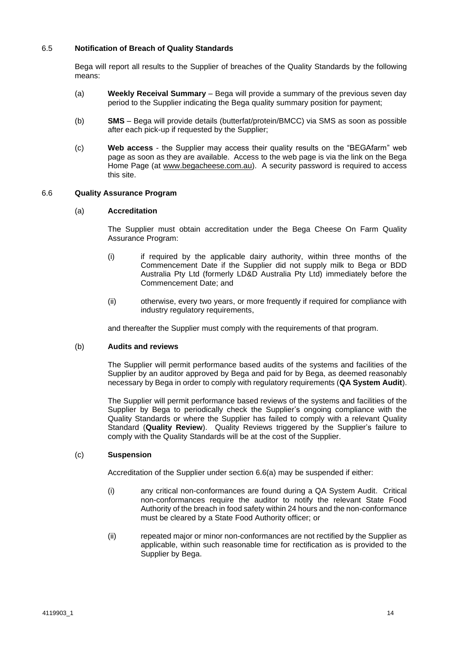## 6.5 **Notification of Breach of Quality Standards**

Bega will report all results to the Supplier of breaches of the Quality Standards by the following means:

- (a) **Weekly Receival Summary** Bega will provide a summary of the previous seven day period to the Supplier indicating the Bega quality summary position for payment;
- (b) **SMS** Bega will provide details (butterfat/protein/BMCC) via SMS as soon as possible after each pick-up if requested by the Supplier;
- (c) **Web access** the Supplier may access their quality results on the "BEGAfarm" web page as soon as they are available. Access to the web page is via the link on the Bega Home Page (at [www.begacheese.com.au\)](http://www.begacheese.com.au/). A security password is required to access this site.

#### <span id="page-13-1"></span>6.6 **Quality Assurance Program**

#### (a) **Accreditation**

The Supplier must obtain accreditation under the Bega Cheese On Farm Quality Assurance Program:

- (i) if required by the applicable dairy authority, within three months of the Commencement Date if the Supplier did not supply milk to Bega or BDD Australia Pty Ltd (formerly LD&D Australia Pty Ltd) immediately before the Commencement Date; and
- (ii) otherwise, every two years, or more frequently if required for compliance with industry regulatory requirements,

and thereafter the Supplier must comply with the requirements of that program.

#### <span id="page-13-2"></span>(b) **Audits and reviews**

The Supplier will permit performance based audits of the systems and facilities of the Supplier by an auditor approved by Bega and paid for by Bega, as deemed reasonably necessary by Bega in order to comply with regulatory requirements (**QA System Audit**).

The Supplier will permit performance based reviews of the systems and facilities of the Supplier by Bega to periodically check the Supplier's ongoing compliance with the Quality Standards or where the Supplier has failed to comply with a relevant Quality Standard (**Quality Review**). Quality Reviews triggered by the Supplier's failure to comply with the Quality Standards will be at the cost of the Supplier.

#### <span id="page-13-0"></span>(c) **Suspension**

Accreditation of the Supplier under section [6.6\(a\)](#page-13-1) may be suspended if either:

- (i) any critical non-conformances are found during a QA System Audit. Critical non-conformances require the auditor to notify the relevant State Food Authority of the breach in food safety within 24 hours and the non-conformance must be cleared by a State Food Authority officer; or
- (ii) repeated major or minor non-conformances are not rectified by the Supplier as applicable, within such reasonable time for rectification as is provided to the Supplier by Bega.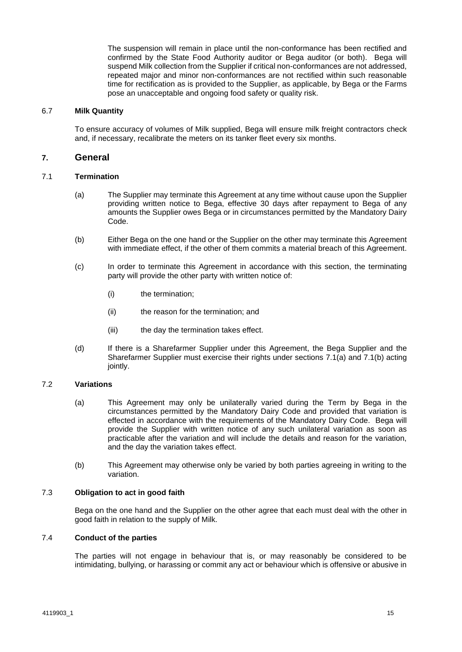The suspension will remain in place until the non-conformance has been rectified and confirmed by the State Food Authority auditor or Bega auditor (or both). Bega will suspend Milk collection from the Supplier if critical non-conformances are not addressed, repeated major and minor non-conformances are not rectified within such reasonable time for rectification as is provided to the Supplier, as applicable, by Bega or the Farms pose an unacceptable and ongoing food safety or quality risk.

#### 6.7 **Milk Quantity**

To ensure accuracy of volumes of Milk supplied, Bega will ensure milk freight contractors check and, if necessary, recalibrate the meters on its tanker fleet every six months.

## **7. General**

## <span id="page-14-1"></span>7.1 **Termination**

- (a) The Supplier may terminate this Agreement at any time without cause upon the Supplier providing written notice to Bega, effective 30 days after repayment to Bega of any amounts the Supplier owes Bega or in circumstances permitted by the Mandatory Dairy Code.
- <span id="page-14-0"></span>(b) Either Bega on the one hand or the Supplier on the other may terminate this Agreement with immediate effect, if the other of them commits a material breach of this Agreement.
- (c) In order to terminate this Agreement in accordance with this section, the terminating party will provide the other party with written notice of:
	- (i) the termination;
	- (ii) the reason for the termination; and
	- (iii) the day the termination takes effect.
- (d) If there is a Sharefarmer Supplier under this Agreement, the Bega Supplier and the Sharefarmer Supplier must exercise their rights under sections [7.1\(a\)](#page-14-1) and [7.1\(b\)](#page-14-0) acting jointly.

#### 7.2 **Variations**

- (a) This Agreement may only be unilaterally varied during the Term by Bega in the circumstances permitted by the Mandatory Dairy Code and provided that variation is effected in accordance with the requirements of the Mandatory Dairy Code. Bega will provide the Supplier with written notice of any such unilateral variation as soon as practicable after the variation and will include the details and reason for the variation, and the day the variation takes effect.
- (b) This Agreement may otherwise only be varied by both parties agreeing in writing to the variation.

## 7.3 **Obligation to act in good faith**

Bega on the one hand and the Supplier on the other agree that each must deal with the other in good faith in relation to the supply of Milk.

## 7.4 **Conduct of the parties**

The parties will not engage in behaviour that is, or may reasonably be considered to be intimidating, bullying, or harassing or commit any act or behaviour which is offensive or abusive in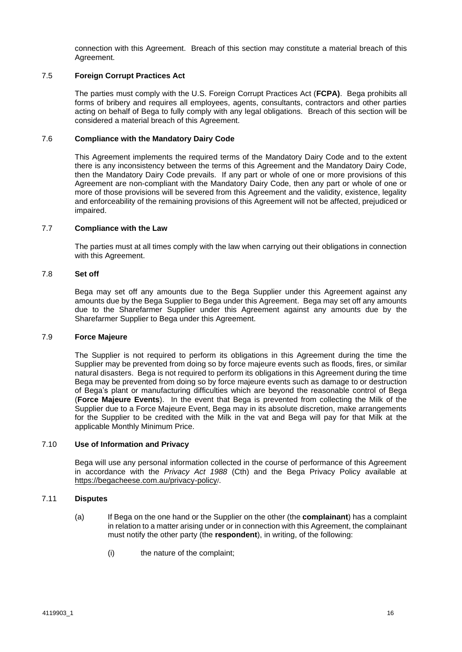connection with this Agreement. Breach of this section may constitute a material breach of this Agreement.

## 7.5 **Foreign Corrupt Practices Act**

The parties must comply with the U.S. Foreign Corrupt Practices Act (**FCPA)**. Bega prohibits all forms of bribery and requires all employees, agents, consultants, contractors and other parties acting on behalf of Bega to fully comply with any legal obligations. Breach of this section will be considered a material breach of this Agreement.

#### 7.6 **Compliance with the Mandatory Dairy Code**

This Agreement implements the required terms of the Mandatory Dairy Code and to the extent there is any inconsistency between the terms of this Agreement and the Mandatory Dairy Code, then the Mandatory Dairy Code prevails. If any part or whole of one or more provisions of this Agreement are non-compliant with the Mandatory Dairy Code, then any part or whole of one or more of those provisions will be severed from this Agreement and the validity, existence, legality and enforceability of the remaining provisions of this Agreement will not be affected, prejudiced or impaired.

#### 7.7 **Compliance with the Law**

The parties must at all times comply with the law when carrying out their obligations in connection with this Agreement.

#### 7.8 **Set off**

Bega may set off any amounts due to the Bega Supplier under this Agreement against any amounts due by the Bega Supplier to Bega under this Agreement. Bega may set off any amounts due to the Sharefarmer Supplier under this Agreement against any amounts due by the Sharefarmer Supplier to Bega under this Agreement.

#### <span id="page-15-1"></span>7.9 **Force Majeure**

The Supplier is not required to perform its obligations in this Agreement during the time the Supplier may be prevented from doing so by force majeure events such as floods, fires, or similar natural disasters. Bega is not required to perform its obligations in this Agreement during the time Bega may be prevented from doing so by force majeure events such as damage to or destruction of Bega's plant or manufacturing difficulties which are beyond the reasonable control of Bega (**Force Majeure Events**). In the event that Bega is prevented from collecting the Milk of the Supplier due to a Force Majeure Event, Bega may in its absolute discretion, make arrangements for the Supplier to be credited with the Milk in the vat and Bega will pay for that Milk at the applicable Monthly Minimum Price.

## 7.10 **Use of Information and Privacy**

Bega will use any personal information collected in the course of performance of this Agreement in accordance with the *Privacy Act 1988* (Cth) and the Bega Privacy Policy available at <https://begacheese.com.au/privacy-policy>/.

## <span id="page-15-0"></span>7.11 **Disputes**

- (a) If Bega on the one hand or the Supplier on the other (the **complainant**) has a complaint in relation to a matter arising under or in connection with this Agreement, the complainant must notify the other party (the **respondent**), in writing, of the following:
	- (i) the nature of the complaint;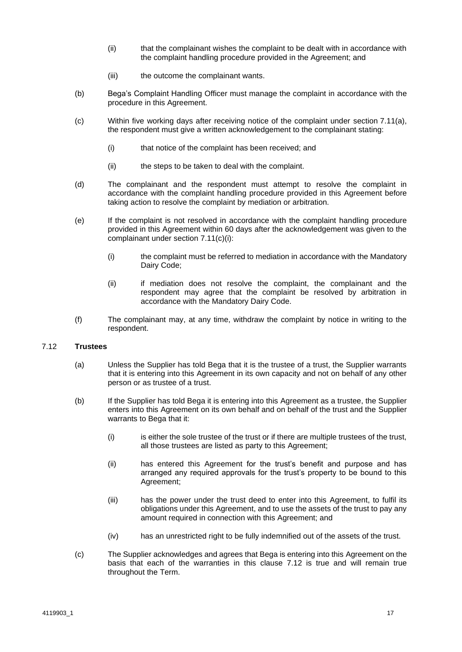- (ii) that the complainant wishes the complaint to be dealt with in accordance with the complaint handling procedure provided in the Agreement; and
- (iii) the outcome the complainant wants.
- (b) Bega's Complaint Handling Officer must manage the complaint in accordance with the procedure in this Agreement.
- <span id="page-16-0"></span>(c) Within five working days after receiving notice of the complaint under section [7.11\(a\),](#page-15-0) the respondent must give a written acknowledgement to the complainant stating:
	- (i) that notice of the complaint has been received; and
	- (ii) the steps to be taken to deal with the complaint.
- (d) The complainant and the respondent must attempt to resolve the complaint in accordance with the complaint handling procedure provided in this Agreement before taking action to resolve the complaint by mediation or arbitration.
- (e) If the complaint is not resolved in accordance with the complaint handling procedure provided in this Agreement within 60 days after the acknowledgement was given to the complainant under section [7.11\(c\)\(i\):](#page-16-0)
	- (i) the complaint must be referred to mediation in accordance with the Mandatory Dairy Code;
	- (ii) if mediation does not resolve the complaint, the complainant and the respondent may agree that the complaint be resolved by arbitration in accordance with the Mandatory Dairy Code.
- (f) The complainant may, at any time, withdraw the complaint by notice in writing to the respondent.

#### <span id="page-16-1"></span>7.12 **Trustees**

- (a) Unless the Supplier has told Bega that it is the trustee of a trust, the Supplier warrants that it is entering into this Agreement in its own capacity and not on behalf of any other person or as trustee of a trust.
- (b) If the Supplier has told Bega it is entering into this Agreement as a trustee, the Supplier enters into this Agreement on its own behalf and on behalf of the trust and the Supplier warrants to Bega that it:
	- (i) is either the sole trustee of the trust or if there are multiple trustees of the trust, all those trustees are listed as party to this Agreement;
	- (ii) has entered this Agreement for the trust's benefit and purpose and has arranged any required approvals for the trust's property to be bound to this Agreement;
	- (iii) has the power under the trust deed to enter into this Agreement, to fulfil its obligations under this Agreement, and to use the assets of the trust to pay any amount required in connection with this Agreement; and
	- (iv) has an unrestricted right to be fully indemnified out of the assets of the trust.
- (c) The Supplier acknowledges and agrees that Bega is entering into this Agreement on the basis that each of the warranties in this clause [7.12](#page-16-1) is true and will remain true throughout the Term.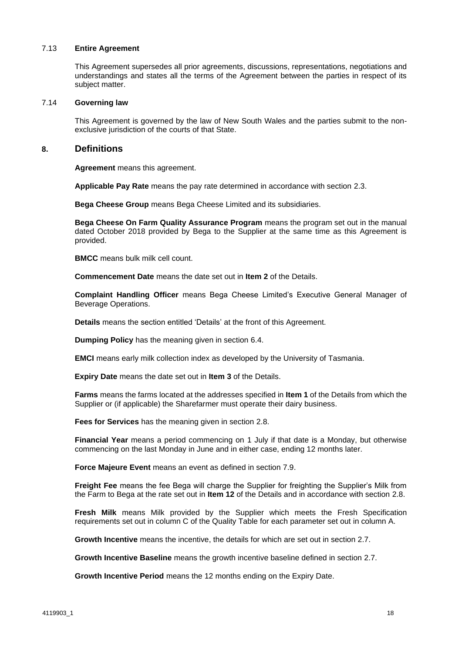#### 7.13 **Entire Agreement**

This Agreement supersedes all prior agreements, discussions, representations, negotiations and understandings and states all the terms of the Agreement between the parties in respect of its subject matter.

#### 7.14 **Governing law**

This Agreement is governed by the law of New South Wales and the parties submit to the nonexclusive jurisdiction of the courts of that State.

## **8. Definitions**

**Agreement** means this agreement.

**Applicable Pay Rate** means the pay rate determined in accordance with section [2.3.](#page-7-0)

**Bega Cheese Group** means Bega Cheese Limited and its subsidiaries.

**Bega Cheese On Farm Quality Assurance Program** means the program set out in the manual dated October 2018 provided by Bega to the Supplier at the same time as this Agreement is provided.

**BMCC** means bulk milk cell count.

**Commencement Date** means the date set out in **Item [2](#page-1-2)** of the Details.

**Complaint Handling Officer** means Bega Cheese Limited's Executive General Manager of Beverage Operations.

**Details** means the section entitled 'Details' at the front of this Agreement.

**Dumping Policy** has the meaning given in section [6.4.](#page-12-1)

**EMCI** means early milk collection index as developed by the University of Tasmania.

**Expiry Date** means the date set out in **Item [3](#page-1-3)** of the Details.

**Farms** means the farms located at the addresses specified in **Ite[m 1](#page-1-1)** of the Details from which the Supplier or (if applicable) the Sharefarmer must operate their dairy business.

**Fees for Services** has the meaning given in section [2.8.](#page-9-0)

**Financial Year** means a period commencing on 1 July if that date is a Monday, but otherwise commencing on the last Monday in June and in either case, ending 12 months later.

**Force Majeure Event** means an event as defined in section [7.9.](#page-15-1)

**Freight Fee** means the fee Bega will charge the Supplier for freighting the Supplier's Milk from the Farm to Bega at the rate set out in **Item [12](#page-4-2)** of the Details and in accordance with section [2.8.](#page-9-0)

**Fresh Milk** means Milk provided by the Supplier which meets the Fresh Specification requirements set out in column C of the Quality Table for each parameter set out in column A.

**Growth Incentive** means the incentive, the details for which are set out in section [2.7.](#page-8-1)

**Growth Incentive Baseline** means the growth incentive baseline defined in section [2.7.](#page-8-1)

**Growth Incentive Period** means the 12 months ending on the Expiry Date.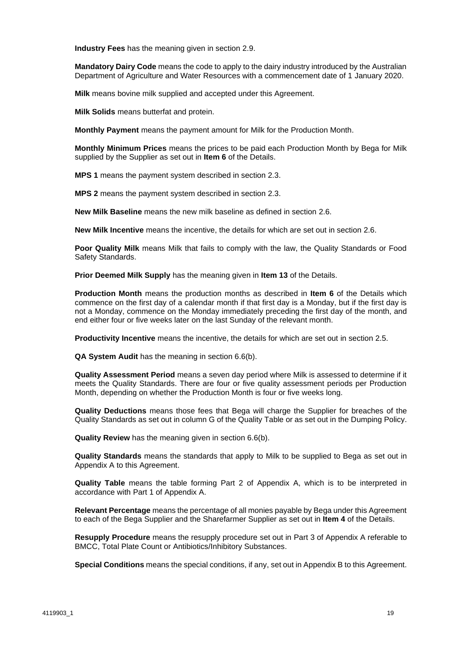**Industry Fees** has the meaning given in section [2.9.](#page-9-1)

**Mandatory Dairy Code** means the code to apply to the dairy industry introduced by the Australian Department of Agriculture and Water Resources with a commencement date of 1 January 2020.

**Milk** means bovine milk supplied and accepted under this Agreement.

**Milk Solids** means butterfat and protein.

**Monthly Payment** means the payment amount for Milk for the Production Month.

**Monthly Minimum Prices** means the prices to be paid each Production Month by Bega for Milk supplied by the Supplier as set out in **Item [6](#page-1-0)** of the Details.

**MPS 1** means the payment system described in section [2.3.](#page-7-0)

**MPS 2** means the payment system described in section [2.3.](#page-7-0)

**New Milk Baseline** means the new milk baseline as defined in section [2.6.](#page-8-0)

**New Milk Incentive** means the incentive, the details for which are set out in section [2.6.](#page-8-0)

**Poor Quality Milk** means Milk that fails to comply with the law, the Quality Standards or Food Safety Standards.

**Prior Deemed Milk Supply** has the meaning given in **Item [13](#page-4-0)** of the Details.

**Production Month** means the production months as described in **Item [6](#page-1-0)** of the Details which commence on the first day of a calendar month if that first day is a Monday, but if the first day is not a Monday, commence on the Monday immediately preceding the first day of the month, and end either four or five weeks later on the last Sunday of the relevant month.

**Productivity Incentive** means the incentive, the details for which are set out in section [2.5.](#page-7-1)

**QA System Audit** has the meaning in section [6.6\(b\).](#page-13-2)

**Quality Assessment Period** means a seven day period where Milk is assessed to determine if it meets the Quality Standards. There are four or five quality assessment periods per Production Month, depending on whether the Production Month is four or five weeks long.

**Quality Deductions** means those fees that Bega will charge the Supplier for breaches of the Quality Standards as set out in column G of the Quality Table or as set out in the Dumping Policy.

**Quality Review** has the meaning given in sectio[n 6.6\(b\).](#page-13-2)

**Quality Standards** means the standards that apply to Milk to be supplied to Bega as set out in Appendix A to this Agreement.

**Quality Table** means the table forming Part 2 of Appendix A, which is to be interpreted in accordance with Part 1 of Appendix A.

**Relevant Percentage** means the percentage of all monies payable by Bega under this Agreement to each of the Bega Supplier and the Sharefarmer Supplier as set out in **Item [4](#page-1-4)** of the Details.

**Resupply Procedure** means the resupply procedure set out in Part 3 of Appendix A referable to BMCC, Total Plate Count or Antibiotics/Inhibitory Substances.

**Special Conditions** means the special conditions, if any, set out in Appendix B to this Agreement.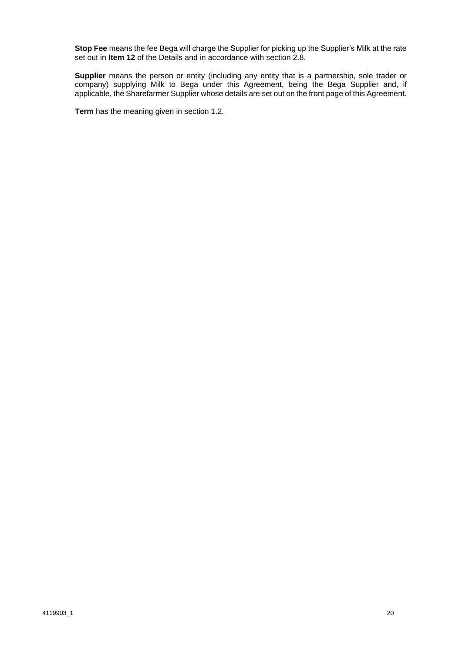**Stop Fee** means the fee Bega will charge the Supplier for picking up the Supplier's Milk at the rate set out in **Item [12](#page-4-2)** of the Details and in accordance with section [2.8.](#page-9-0)

**Supplier** means the person or entity (including any entity that is a partnership, sole trader or company) supplying Milk to Bega under this Agreement, being the Bega Supplier and, if applicable, the Sharefarmer Supplier whose details are set out on the front page of this Agreement.

**Term** has the meaning given in section [1.2.](#page-6-0)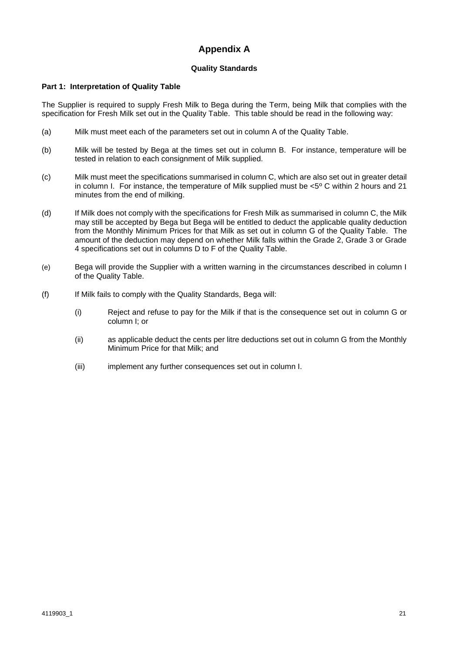## **Appendix A**

## **Quality Standards**

## **Part 1: Interpretation of Quality Table**

The Supplier is required to supply Fresh Milk to Bega during the Term, being Milk that complies with the specification for Fresh Milk set out in the Quality Table. This table should be read in the following way:

- (a) Milk must meet each of the parameters set out in column A of the Quality Table.
- (b) Milk will be tested by Bega at the times set out in column B. For instance, temperature will be tested in relation to each consignment of Milk supplied.
- (c) Milk must meet the specifications summarised in column C, which are also set out in greater detail in column I. For instance, the temperature of Milk supplied must be <5º C within 2 hours and 21 minutes from the end of milking.
- (d) If Milk does not comply with the specifications for Fresh Milk as summarised in column C, the Milk may still be accepted by Bega but Bega will be entitled to deduct the applicable quality deduction from the Monthly Minimum Prices for that Milk as set out in column G of the Quality Table. The amount of the deduction may depend on whether Milk falls within the Grade 2, Grade 3 or Grade 4 specifications set out in columns D to F of the Quality Table.
- (e) Bega will provide the Supplier with a written warning in the circumstances described in column I of the Quality Table.
- (f) If Milk fails to comply with the Quality Standards, Bega will:
	- (i) Reject and refuse to pay for the Milk if that is the consequence set out in column G or column I; or
	- (ii) as applicable deduct the cents per litre deductions set out in column G from the Monthly Minimum Price for that Milk; and
	- (iii) implement any further consequences set out in column I.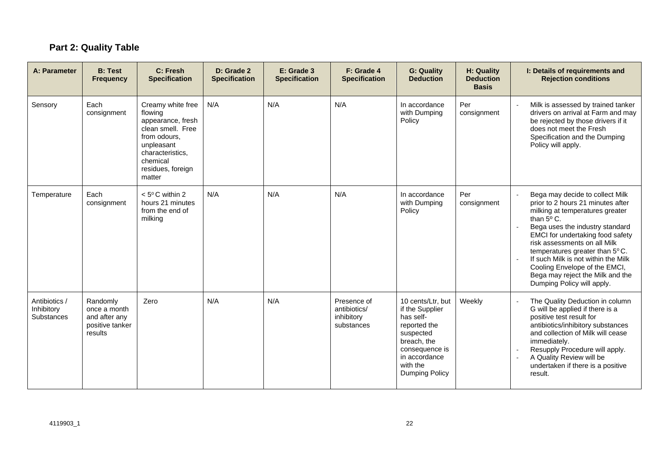# **Part 2: Quality Table**

| A: Parameter                                     | <b>B: Test</b><br><b>Frequency</b>                                      | C: Fresh<br><b>Specification</b>                                                                                                                                    | D: Grade 2<br><b>Specification</b> | E: Grade 3<br><b>Specification</b> | F: Grade 4<br><b>Specification</b>                      | <b>G: Quality</b><br><b>Deduction</b>                                                                                                                                 | H: Quality<br><b>Deduction</b><br><b>Basis</b> | I: Details of requirements and<br><b>Rejection conditions</b>                                                                                                                                                                                                                                                                                                                                            |
|--------------------------------------------------|-------------------------------------------------------------------------|---------------------------------------------------------------------------------------------------------------------------------------------------------------------|------------------------------------|------------------------------------|---------------------------------------------------------|-----------------------------------------------------------------------------------------------------------------------------------------------------------------------|------------------------------------------------|----------------------------------------------------------------------------------------------------------------------------------------------------------------------------------------------------------------------------------------------------------------------------------------------------------------------------------------------------------------------------------------------------------|
| Sensory                                          | Each<br>consignment                                                     | Creamy white free<br>flowing<br>appearance, fresh<br>clean smell. Free<br>from odours.<br>unpleasant<br>characteristics,<br>chemical<br>residues, foreign<br>matter | N/A                                | N/A                                | N/A                                                     | In accordance<br>with Dumping<br>Policy                                                                                                                               | Per<br>consignment                             | Milk is assessed by trained tanker<br>drivers on arrival at Farm and may<br>be rejected by those drivers if it<br>does not meet the Fresh<br>Specification and the Dumping<br>Policy will apply.                                                                                                                                                                                                         |
| Temperature                                      | Each<br>consignment                                                     | $< 5^{\circ}$ C within 2<br>hours 21 minutes<br>from the end of<br>milking                                                                                          | N/A                                | N/A                                | N/A                                                     | In accordance<br>with Dumping<br>Policy                                                                                                                               | Per<br>consignment                             | Bega may decide to collect Milk<br>prior to 2 hours 21 minutes after<br>milking at temperatures greater<br>than 5° C.<br>Bega uses the industry standard<br>EMCI for undertaking food safety<br>risk assessments on all Milk<br>temperatures greater than 5°C.<br>If such Milk is not within the Milk<br>Cooling Envelope of the EMCI,<br>Bega may reject the Milk and the<br>Dumping Policy will apply. |
| Antibiotics /<br>Inhibitory<br><b>Substances</b> | Randomly<br>once a month<br>and after any<br>positive tanker<br>results | Zero                                                                                                                                                                | N/A                                | N/A                                | Presence of<br>antibiotics/<br>inhibitory<br>substances | 10 cents/Ltr, but<br>if the Supplier<br>has self-<br>reported the<br>suspected<br>breach, the<br>consequence is<br>in accordance<br>with the<br><b>Dumping Policy</b> | Weekly                                         | The Quality Deduction in column<br>G will be applied if there is a<br>positive test result for<br>antibiotics/inhibitory substances<br>and collection of Milk will cease<br>immediately.<br>Resupply Procedure will apply.<br>. —<br>A Quality Review will be<br>undertaken if there is a positive<br>result.                                                                                            |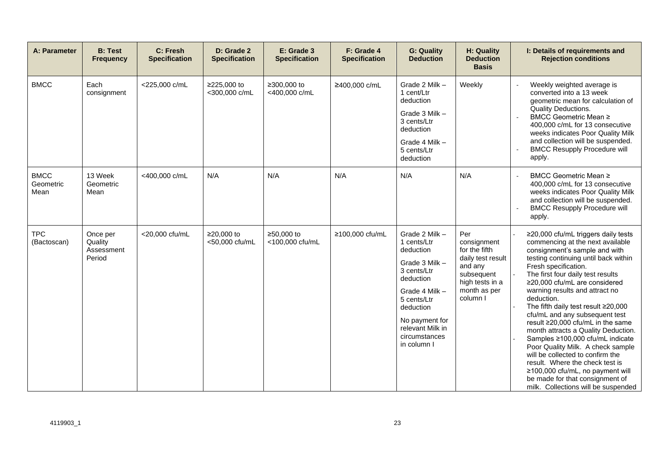| A: Parameter                     | <b>B: Test</b><br><b>Frequency</b>          | C: Fresh<br><b>Specification</b> | D: Grade 2<br><b>Specification</b> | E: Grade 3<br><b>Specification</b> | F: Grade 4<br><b>Specification</b> | <b>G: Quality</b><br><b>Deduction</b>                                                                                                                                                                        | H: Quality<br><b>Deduction</b><br><b>Basis</b>                                                                                   | I: Details of requirements and<br><b>Rejection conditions</b>                                                                                                                                                                                                                                                                                                                                                                                                                                                                                                                                                                                                                                                     |
|----------------------------------|---------------------------------------------|----------------------------------|------------------------------------|------------------------------------|------------------------------------|--------------------------------------------------------------------------------------------------------------------------------------------------------------------------------------------------------------|----------------------------------------------------------------------------------------------------------------------------------|-------------------------------------------------------------------------------------------------------------------------------------------------------------------------------------------------------------------------------------------------------------------------------------------------------------------------------------------------------------------------------------------------------------------------------------------------------------------------------------------------------------------------------------------------------------------------------------------------------------------------------------------------------------------------------------------------------------------|
| <b>BMCC</b>                      | Each<br>consignment                         | <225,000 c/mL                    | ≥225,000 to<br><300,000 c/mL       | ≥300,000 to<br><400,000 c/mL       | ≥400,000 c/mL                      | Grade 2 Milk -<br>1 cent/Ltr<br>deduction<br>Grade 3 Milk -<br>3 cents/Ltr<br>deduction<br>Grade 4 Milk -<br>5 cents/Ltr<br>deduction                                                                        | Weekly                                                                                                                           | Weekly weighted average is<br>converted into a 13 week<br>geometric mean for calculation of<br>Quality Deductions.<br>BMCC Geometric Mean ≥<br>400,000 c/mL for 13 consecutive<br>weeks indicates Poor Quality Milk<br>and collection will be suspended.<br><b>BMCC Resupply Procedure will</b><br>apply.                                                                                                                                                                                                                                                                                                                                                                                                         |
| <b>BMCC</b><br>Geometric<br>Mean | 13 Week<br>Geometric<br>Mean                | <400,000 c/mL                    | N/A                                | N/A                                | N/A                                | N/A                                                                                                                                                                                                          | N/A                                                                                                                              | BMCC Geometric Mean ≥<br>400,000 c/mL for 13 consecutive<br>weeks indicates Poor Quality Milk<br>and collection will be suspended.<br><b>BMCC Resupply Procedure will</b><br>apply.                                                                                                                                                                                                                                                                                                                                                                                                                                                                                                                               |
| <b>TPC</b><br>(Bactoscan)        | Once per<br>Quality<br>Assessment<br>Period | <20,000 cfu/mL                   | ≥20,000 to<br><50,000 cfu/mL       | ≥50,000 to<br><100,000 cfu/mL      | ≥100,000 cfu/mL                    | Grade 2 Milk -<br>1 cents/Ltr<br>deduction<br>Grade 3 Milk -<br>3 cents/Ltr<br>deduction<br>Grade 4 Milk -<br>5 cents/Ltr<br>deduction<br>No payment for<br>relevant Milk in<br>circumstances<br>in column I | Per<br>consignment<br>for the fifth<br>daily test result<br>and any<br>subsequent<br>high tests in a<br>month as per<br>column I | ≥20,000 cfu/mL triggers daily tests<br>commencing at the next available<br>consignment's sample and with<br>testing continuing until back within<br>Fresh specification.<br>The first four daily test results<br>≥20,000 cfu/mL are considered<br>warning results and attract no<br>deduction.<br>The fifth daily test result ≥20,000<br>cfu/mL and any subsequent test<br>result ≥20,000 cfu/mL in the same<br>month attracts a Quality Deduction.<br>Samples ≥100,000 cfu/mL indicate<br>Poor Quality Milk. A check sample<br>will be collected to confirm the<br>result. Where the check test is<br>≥100,000 cfu/mL, no payment will<br>be made for that consignment of<br>milk. Collections will be suspended |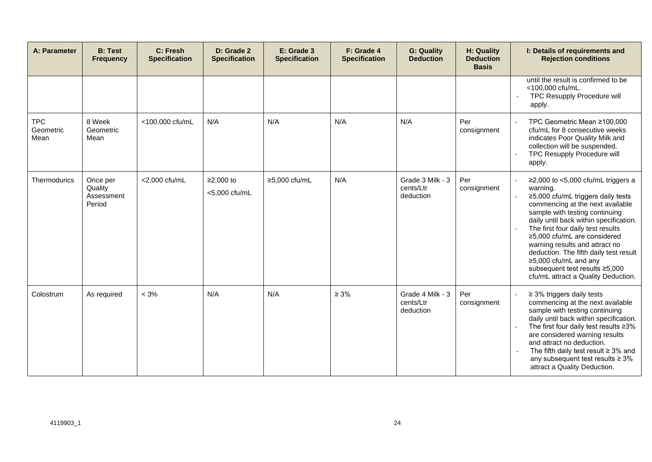| A: Parameter                    | <b>B: Test</b><br><b>Frequency</b>          | C: Fresh<br><b>Specification</b> | D: Grade 2<br><b>Specification</b> | E: Grade 3<br><b>Specification</b> | F: Grade 4<br><b>Specification</b> | <b>G: Quality</b><br><b>Deduction</b>      | H: Quality<br><b>Deduction</b><br><b>Basis</b> | I: Details of requirements and<br><b>Rejection conditions</b>                                                                                                                                                                                                                                                                                                                                                                                                 |
|---------------------------------|---------------------------------------------|----------------------------------|------------------------------------|------------------------------------|------------------------------------|--------------------------------------------|------------------------------------------------|---------------------------------------------------------------------------------------------------------------------------------------------------------------------------------------------------------------------------------------------------------------------------------------------------------------------------------------------------------------------------------------------------------------------------------------------------------------|
|                                 |                                             |                                  |                                    |                                    |                                    |                                            |                                                | until the result is confirmed to be<br><100,000 cfu/mL.<br>TPC Resupply Procedure will<br>apply.                                                                                                                                                                                                                                                                                                                                                              |
| <b>TPC</b><br>Geometric<br>Mean | 8 Week<br>Geometric<br>Mean                 | <100,000 cfu/mL                  | N/A                                | N/A                                | N/A                                | N/A                                        | Per<br>consignment                             | TPC Geometric Mean ≥100,000<br>cfu/mL for 8 consecutive weeks<br>indicates Poor Quality Milk and<br>collection will be suspended.<br><b>TPC Resupply Procedure will</b><br>apply.                                                                                                                                                                                                                                                                             |
| <b>Thermodurics</b>             | Once per<br>Quality<br>Assessment<br>Period | <2,000 cfu/mL                    | $≥2,000$ to<br><5,000 cfu/mL       | ≥5,000 cfu/mL                      | N/A                                | Grade 3 Milk - 3<br>cents/Ltr<br>deduction | Per<br>consignment                             | $\geq$ 2,000 to <5,000 cfu/mL triggers a<br>warning.<br>≥5,000 cfu/mL triggers daily tests<br>commencing at the next available<br>sample with testing continuing<br>daily until back within specification.<br>The first four daily test results<br>≥5,000 cfu/mL are considered<br>warning results and attract no<br>deduction. The fifth daily test result<br>≥5,000 cfu/mL and any<br>subsequent test results ≥5,000<br>cfu/mL attract a Quality Deduction. |
| Colostrum                       | As required                                 | $< 3\%$                          | N/A                                | N/A                                | $\geq 3\%$                         | Grade 4 Milk - 3<br>cents/Ltr<br>deduction | Per<br>consignment                             | $\geq$ 3% triggers daily tests<br>commencing at the next available<br>sample with testing continuing<br>daily until back within specification.<br>The first four daily test results ≥3%<br>are considered warning results<br>and attract no deduction.<br>The fifth daily test result $\geq$ 3% and<br>any subsequent test results $\geq 3\%$<br>attract a Quality Deduction.                                                                                 |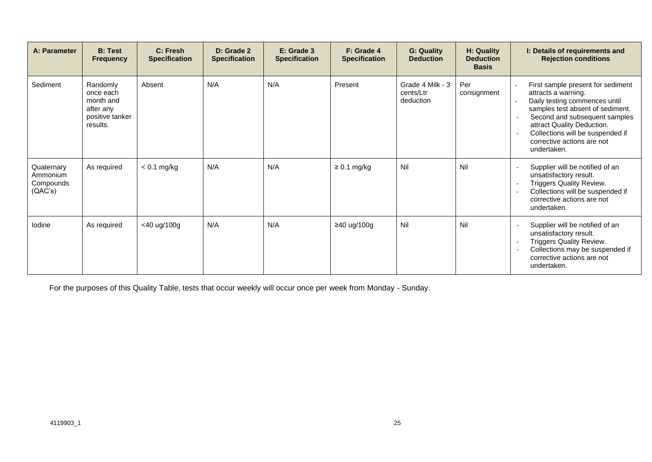| A: Parameter                                   | <b>B: Test</b><br><b>Frequency</b>                                             | C: Fresh<br><b>Specification</b> | D: Grade 2<br><b>Specification</b> | E: Grade 3<br><b>Specification</b> | F: Grade 4<br><b>Specification</b> | <b>G: Quality</b><br><b>Deduction</b>      | H: Quality<br><b>Deduction</b><br><b>Basis</b> | I: Details of requirements and<br><b>Rejection conditions</b>                                                                                                                                                                                                                 |
|------------------------------------------------|--------------------------------------------------------------------------------|----------------------------------|------------------------------------|------------------------------------|------------------------------------|--------------------------------------------|------------------------------------------------|-------------------------------------------------------------------------------------------------------------------------------------------------------------------------------------------------------------------------------------------------------------------------------|
| Sediment                                       | Randomly<br>once each<br>month and<br>after any<br>positive tanker<br>results. | Absent                           | N/A                                | N/A                                | Present                            | Grade 4 Milk - 3<br>cents/Ltr<br>deduction | Per<br>consignment                             | First sample present for sediment<br>attracts a warning.<br>Daily testing commences until<br>samples test absent of sediment.<br>Second and subsequent samples<br>attract Quality Deduction.<br>Collections will be suspended if<br>corrective actions are not<br>undertaken. |
| Quaternary<br>Ammonium<br>Compounds<br>(QAC's) | As required                                                                    | $< 0.1$ mg/kg                    | N/A                                | N/A                                | $\geq 0.1$ mg/kg                   | Nil                                        | Nil                                            | Supplier will be notified of an<br>unsatisfactory result.<br>Triggers Quality Review.<br>$\sim$<br>Collections will be suspended if<br>corrective actions are not<br>undertaken.                                                                                              |
| lodine                                         | As required                                                                    | <40 ug/100g                      | N/A                                | N/A                                | ≥40 ug/100g                        | Nil                                        | Nil                                            | Supplier will be notified of an<br>unsatisfactory result.<br>Triggers Quality Review.<br>Collections may be suspended if<br>corrective actions are not<br>undertaken.                                                                                                         |

For the purposes of this Quality Table, tests that occur weekly will occur once per week from Monday - Sunday.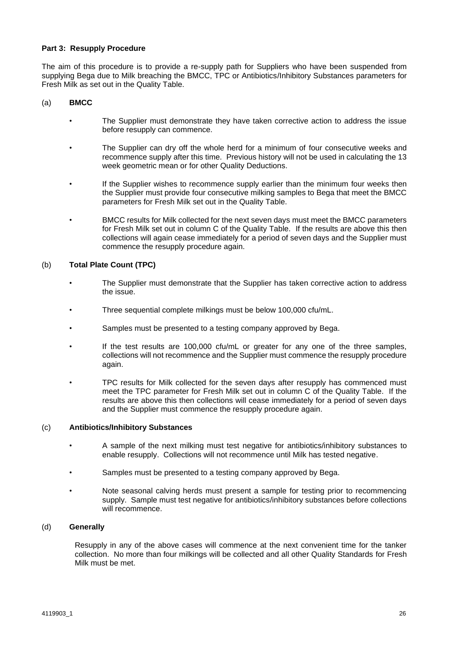#### **Part 3: Resupply Procedure**

The aim of this procedure is to provide a re-supply path for Suppliers who have been suspended from supplying Bega due to Milk breaching the BMCC, TPC or Antibiotics/Inhibitory Substances parameters for Fresh Milk as set out in the Quality Table.

#### (a) **BMCC**

- The Supplier must demonstrate they have taken corrective action to address the issue before resupply can commence.
- The Supplier can dry off the whole herd for a minimum of four consecutive weeks and recommence supply after this time. Previous history will not be used in calculating the 13 week geometric mean or for other Quality Deductions.
- If the Supplier wishes to recommence supply earlier than the minimum four weeks then the Supplier must provide four consecutive milking samples to Bega that meet the BMCC parameters for Fresh Milk set out in the Quality Table.
- BMCC results for Milk collected for the next seven days must meet the BMCC parameters for Fresh Milk set out in column C of the Quality Table. If the results are above this then collections will again cease immediately for a period of seven days and the Supplier must commence the resupply procedure again.

#### (b) **Total Plate Count (TPC)**

- The Supplier must demonstrate that the Supplier has taken corrective action to address the issue.
- Three sequential complete milkings must be below 100,000 cfu/mL.
- Samples must be presented to a testing company approved by Bega.
- If the test results are  $100,000$  cfu/mL or greater for any one of the three samples, collections will not recommence and the Supplier must commence the resupply procedure again.
- TPC results for Milk collected for the seven days after resupply has commenced must meet the TPC parameter for Fresh Milk set out in column C of the Quality Table. If the results are above this then collections will cease immediately for a period of seven days and the Supplier must commence the resupply procedure again.

#### (c) **Antibiotics/Inhibitory Substances**

- A sample of the next milking must test negative for antibiotics/inhibitory substances to enable resupply. Collections will not recommence until Milk has tested negative.
- Samples must be presented to a testing company approved by Bega.
- Note seasonal calving herds must present a sample for testing prior to recommencing supply. Sample must test negative for antibiotics/inhibitory substances before collections will recommence.

#### (d) **Generally**

Resupply in any of the above cases will commence at the next convenient time for the tanker collection. No more than four milkings will be collected and all other Quality Standards for Fresh Milk must be met.